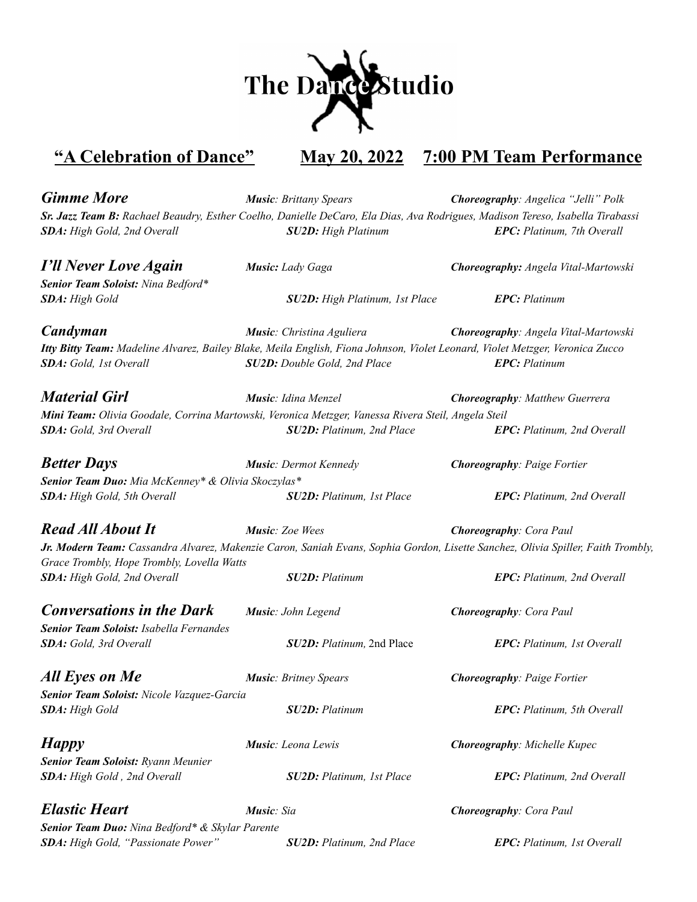

## **"A Celebration of Dance" May 20, 2022 7:00 PM Team Performance**

*Gimme More Music: Brittany Spears Choreography: Angelica "Jelli" Polk* Sr. Jazz Team B: Rachael Beaudry, Esther Coelho, Danielle DeCaro, Ela Dias, Ava Rodrigues, Madison Tereso, Isabella Tirabassi *SDA: High Gold, 2nd Overall SU2D: High Platinum EPC: Platinum, 7th Overall*

*I'll Never Love Again Music: Lady Gaga Choreography: Angela Vital-Martowski Senior Team Soloist: Nina Bedford\* SDA: High Gold SU2D: High Platinum, 1st Place EPC: Platinum*

*Candyman Music: Christina Aguliera Choreography: Angela Vital-Martowski* Itty Bitty Team: Madeline Alvarez, Bailey Blake, Meila English, Fiona Johnson, Violet Leonard, Violet Metzger, Veronica Zucco *SDA: Gold, 1st Overall SU2D: Double Gold, 2nd Place EPC: Platinum*

*Material Girl Music: Idina Menzel Choreography: Matthew Guerrera Mini Team: Olivia Goodale, Corrina Martowski, Veronica Metzger, Vanessa Rivera Steil, Angela Steil SDA: Gold, 3rd Overall SU2D: Platinum, 2nd Place EPC: Platinum, 2nd Overall*

*Better Days Music: Dermot Kennedy Choreography: Paige Fortier Senior Team Duo: Mia McKenney\* & Olivia Skoczylas\* SDA: High Gold, 5th Overall SU2D: Platinum, 1st Place EPC: Platinum, 2nd Overall*

*Read All About It Music: Zoe Wees Choreography: Cora Paul* Jr. Modern Team: Cassandra Alvarez, Makenzie Caron, Saniah Evans, Sophia Gordon, Lisette Sanchez, Olivia Spiller, Faith Trombly, *Grace Trombly, Hope Trombly, Lovella Watts SDA: High Gold, 2nd Overall SU2D: Platinum EPC: Platinum, 2nd Overall*

*Conversations in the Dark Music: John Legend Choreography: Cora Paul Senior Team Soloist: Isabella Fernandes*

*All Eyes on Me Music: Britney Spears Choreography: Paige Fortier Senior Team Soloist: Nicole Vazquez-Garcia SDA: High Gold SU2D: Platinum EPC: Platinum, 5th Overall*

*Happy Music: Leona Lewis Choreography: Michelle Kupec Senior Team Soloist: Ryann Meunier SDA: High Gold , 2nd Overall SU2D: Platinum, 1st Place EPC: Platinum, 2nd Overall*

*Senior Team Duo: Nina Bedford\* & Skylar Parente SDA: High Gold, "Passionate Power" SU2D: Platinum, 2nd Place EPC: Platinum, 1st Overall*

*SDA: Gold, 3rd Overall SU2D: Platinum,* 2nd Place *EPC: Platinum, 1st Overall*

*Elastic Heart Music: Sia Choreography: Cora Paul*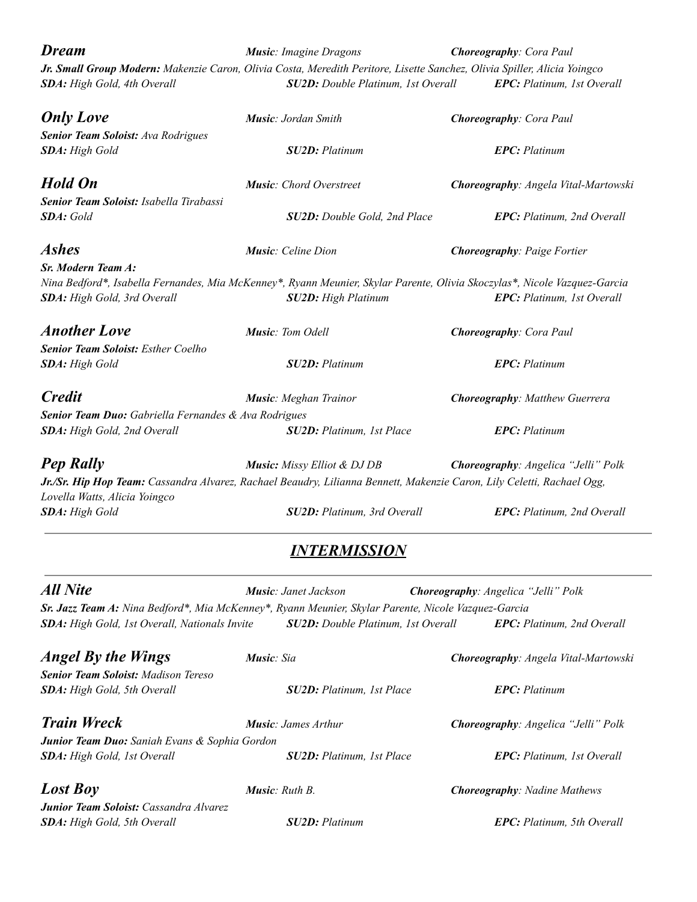| <b>Dream</b>                                                                                                                                             | <b>Music:</b> Imagine Dragons             | <b>Choreography:</b> Cora Paul<br>EPC: Platinum, 1st Overall |  |
|----------------------------------------------------------------------------------------------------------------------------------------------------------|-------------------------------------------|--------------------------------------------------------------|--|
| Jr. Small Group Modern: Makenzie Caron, Olivia Costa, Meredith Peritore, Lisette Sanchez, Olivia Spiller, Alicia Yoingco<br>SDA: High Gold, 4th Overall  | <b>SU2D:</b> Double Platinum, 1st Overall |                                                              |  |
| <b>Only Love</b>                                                                                                                                         | <b>Music: Jordan Smith</b>                | <b>Choreography:</b> Cora Paul                               |  |
| Senior Team Soloist: Ava Rodrigues                                                                                                                       |                                           |                                                              |  |
| SDA: High Gold                                                                                                                                           | <b>SU2D:</b> Platinum                     | <b>EPC</b> : Platinum                                        |  |
| <b>Hold On</b>                                                                                                                                           | <b>Music:</b> Chord Overstreet            | Choreography: Angela Vital-Martowski                         |  |
| Senior Team Soloist: Isabella Tirabassi                                                                                                                  |                                           |                                                              |  |
| <b>SDA</b> : Gold                                                                                                                                        | <b>SU2D:</b> Double Gold, 2nd Place       | EPC: Platinum, 2nd Overall                                   |  |
| <b>Ashes</b>                                                                                                                                             | <b>Music:</b> Celine Dion                 | <b>Choreography: Paige Fortier</b>                           |  |
| Sr. Modern Team A:                                                                                                                                       |                                           |                                                              |  |
| Nina Bedford*, Isabella Fernandes, Mia McKenney*, Ryann Meunier, Skylar Parente, Olivia Skoczylas*, Nicole Vazquez-Garcia<br>SDA: High Gold, 3rd Overall | SU2D: High Platinum                       | <b>EPC:</b> Platinum, 1st Overall                            |  |
| <b>Another Love</b>                                                                                                                                      | Music: Tom Odell                          | <b>Choreography:</b> Cora Paul                               |  |
| <b>Senior Team Soloist:</b> Esther Coelho                                                                                                                |                                           |                                                              |  |
| <b>SDA:</b> High Gold                                                                                                                                    | <b>SU2D:</b> Platinum                     | <b>EPC</b> : Platinum                                        |  |
| <b>Credit</b>                                                                                                                                            | <b>Music:</b> Meghan Trainor              | <b>Choreography: Matthew Guerrera</b>                        |  |
| Senior Team Duo: Gabriella Fernandes & Ava Rodrigues                                                                                                     |                                           |                                                              |  |
| SDA: High Gold, 2nd Overall                                                                                                                              | <b>SU2D:</b> Platinum, 1st Place          | <b>EPC</b> : Platinum                                        |  |
| <b>Pep Rally</b>                                                                                                                                         | <b>Music:</b> Missy Elliot & DJ DB        | Choreography: Angelica "Jelli" Polk                          |  |
| Jr./Sr. Hip Hop Team: Cassandra Alvarez, Rachael Beaudry, Lilianna Bennett, Makenzie Caron, Lily Celetti, Rachael Ogg,<br>Lovella Watts, Alicia Yoingco  |                                           |                                                              |  |
| SDA: High Gold                                                                                                                                           | SU2D: Platinum, 3rd Overall               | <b>EPC:</b> Platinum, 2nd Overall                            |  |
|                                                                                                                                                          | <b>INTERMISSION</b>                       |                                                              |  |
| <b>All Nite</b>                                                                                                                                          | Music: Janet Jackson                      | Choreography: Angelica "Jelli" Polk                          |  |
| Sr. Jazz Team A: Nina Bedford*, Mia McKenney*, Ryann Meunier, Skylar Parente, Nicole Vazquez-Garcia                                                      |                                           |                                                              |  |
| SDA: High Gold, 1st Overall, Nationals Invite                                                                                                            | SU2D: Double Platinum, 1st Overall        | EPC: Platinum, 2nd Overall                                   |  |
| <b>Angel By the Wings</b>                                                                                                                                | Music: Sia                                | Choreography: Angela Vital-Martowski                         |  |
| <b>Senior Team Soloist:</b> Madison Tereso                                                                                                               |                                           |                                                              |  |
| SDA: High Gold, 5th Overall                                                                                                                              | SU2D: Platinum, 1st Place                 | <b>EPC:</b> Platinum                                         |  |

*Train Wreck Music: James Arthur Choreography: Angelica "Jelli" Polk Junior Team Duo: Saniah Evans & Sophia Gordon SDA: High Gold, 1st Overall SU2D: Platinum, 1st Place EPC: Platinum, 1st Overall Lost Boy Music: Ruth B. Choreography: Nadine Mathews Junior Team Soloist: Cassandra Alvarez SDA: High Gold, 5th Overall SU2D: Platinum EPC: Platinum, 5th Overall*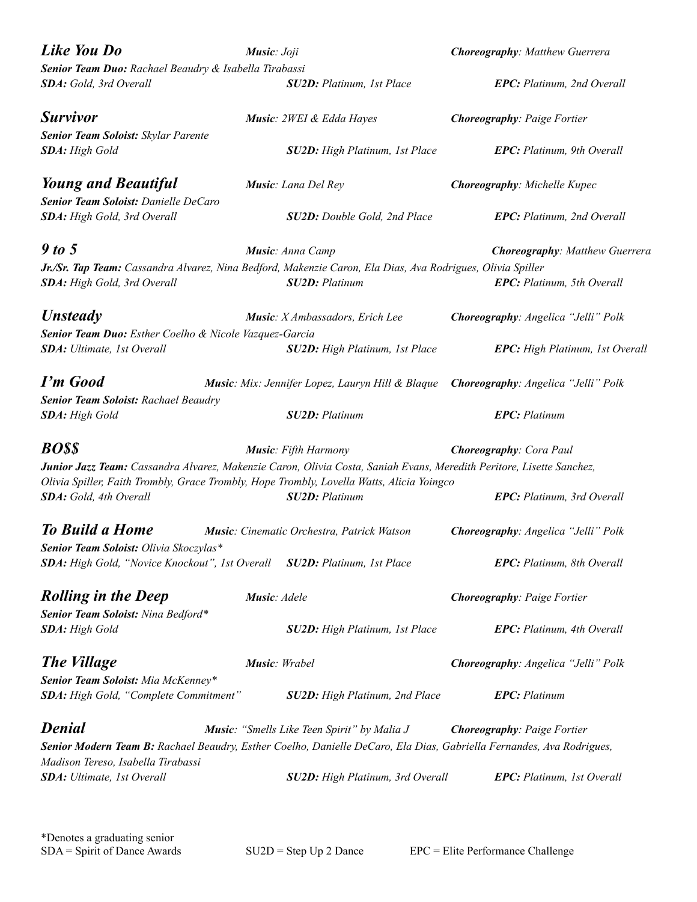| Like You Do<br>Music: Joji                                               |               |                                                                                                                      | <b>Choreography: Matthew Guerrera</b>                                                                                |  |
|--------------------------------------------------------------------------|---------------|----------------------------------------------------------------------------------------------------------------------|----------------------------------------------------------------------------------------------------------------------|--|
| Senior Team Duo: Rachael Beaudry & Isabella Tirabassi                    |               |                                                                                                                      |                                                                                                                      |  |
| SDA: Gold, 3rd Overall                                                   |               | SU2D: Platinum, 1st Place                                                                                            | <b>EPC:</b> Platinum, 2nd Overall                                                                                    |  |
| <b>Survivor</b>                                                          |               | Music: 2WEI & Edda Hayes                                                                                             | <b>Choreography: Paige Fortier</b>                                                                                   |  |
| Senior Team Soloist: Skylar Parente                                      |               |                                                                                                                      |                                                                                                                      |  |
| <b>SDA</b> : High Gold                                                   |               | <b>SU2D:</b> High Platinum, 1st Place                                                                                | <b>EPC:</b> Platinum, 9th Overall                                                                                    |  |
| <b>Young and Beautiful</b>                                               |               | Music: Lana Del Rey                                                                                                  | Choreography: Michelle Kupec                                                                                         |  |
| Senior Team Soloist: Danielle DeCaro                                     |               |                                                                                                                      |                                                                                                                      |  |
| SDA: High Gold, 3rd Overall                                              |               | <b>SU2D:</b> Double Gold, 2nd Place                                                                                  | <b>EPC:</b> Platinum, 2nd Overall                                                                                    |  |
| 9 to 5                                                                   |               | Music: Anna Camp                                                                                                     | <b>Choreography: Matthew Guerrera</b>                                                                                |  |
|                                                                          |               | Jr./Sr. Tap Team: Cassandra Alvarez, Nina Bedford, Makenzie Caron, Ela Dias, Ava Rodrigues, Olivia Spiller           |                                                                                                                      |  |
| SDA: High Gold, 3rd Overall                                              |               | <b>SU2D: Platinum</b>                                                                                                | <b>EPC:</b> Platinum, 5th Overall                                                                                    |  |
| <b>Unsteady</b>                                                          |               | Music: X Ambassadors, Erich Lee                                                                                      | Choreography: Angelica "Jelli" Polk                                                                                  |  |
| Senior Team Duo: Esther Coelho & Nicole Vazquez-Garcia                   |               |                                                                                                                      |                                                                                                                      |  |
| SDA: Ultimate, 1st Overall                                               |               | <b>SU2D:</b> High Platinum, 1st Place                                                                                | EPC: High Platinum, 1st Overall                                                                                      |  |
| <b>I'm Good</b>                                                          |               |                                                                                                                      | Music: Mix: Jennifer Lopez, Lauryn Hill & Blaque Choreography: Angelica "Jelli" Polk                                 |  |
| Senior Team Soloist: Rachael Beaudry                                     |               |                                                                                                                      |                                                                                                                      |  |
| SDA: High Gold                                                           |               | <b>SU2D: Platinum</b>                                                                                                | <b>EPC</b> : Platinum                                                                                                |  |
| <b>BOSS</b>                                                              |               | <b>Music:</b> Fifth Harmony                                                                                          | <b>Choreography:</b> Cora Paul                                                                                       |  |
|                                                                          |               | Junior Jazz Team: Cassandra Alvarez, Makenzie Caron, Olivia Costa, Saniah Evans, Meredith Peritore, Lisette Sanchez, |                                                                                                                      |  |
|                                                                          |               | Olivia Spiller, Faith Trombly, Grace Trombly, Hope Trombly, Lovella Watts, Alicia Yoingco                            |                                                                                                                      |  |
| SDA: Gold, 4th Overall                                                   |               | <b>SU2D: Platinum</b>                                                                                                | <b>EPC:</b> Platinum, 3rd Overall                                                                                    |  |
| <b>To Build a Home</b>                                                   |               | Music: Cinematic Orchestra, Patrick Watson                                                                           | Choreography: Angelica "Jelli" Polk                                                                                  |  |
| Senior Team Soloist: Olivia Skoczylas*                                   |               |                                                                                                                      |                                                                                                                      |  |
| SDA: High Gold, "Novice Knockout", 1st Overall SU2D: Platinum, 1st Place |               |                                                                                                                      | EPC: Platinum, 8th Overall                                                                                           |  |
| <b>Rolling in the Deep</b>                                               | Music: Adele  |                                                                                                                      | <b>Choreography: Paige Fortier</b>                                                                                   |  |
| Senior Team Soloist: Nina Bedford*                                       |               |                                                                                                                      |                                                                                                                      |  |
| SDA: High Gold                                                           |               | <b>SU2D:</b> High Platinum, 1st Place                                                                                | <b>EPC:</b> Platinum, 4th Overall                                                                                    |  |
| <b>The Village</b>                                                       | Music: Wrabel |                                                                                                                      | Choreography: Angelica "Jelli" Polk                                                                                  |  |
| Senior Team Soloist: Mia McKenney*                                       |               |                                                                                                                      |                                                                                                                      |  |
| SDA: High Gold, "Complete Commitment"                                    |               | SU2D: High Platinum, 2nd Place                                                                                       | <b>EPC</b> : Platinum                                                                                                |  |
| <b>Denial</b>                                                            |               | Music: "Smells Like Teen Spirit" by Malia J                                                                          | <b>Choreography: Paige Fortier</b>                                                                                   |  |
|                                                                          |               |                                                                                                                      | Senior Modern Team B: Rachael Beaudry, Esther Coelho, Danielle DeCaro, Ela Dias, Gabriella Fernandes, Ava Rodrigues, |  |
| Madison Tereso, Isabella Tirabassi                                       |               |                                                                                                                      |                                                                                                                      |  |
| <b>SDA:</b> Ultimate, 1st Overall                                        |               | SU2D: High Platinum, 3rd Overall                                                                                     | <b>EPC:</b> Platinum, 1st Overall                                                                                    |  |
|                                                                          |               |                                                                                                                      |                                                                                                                      |  |